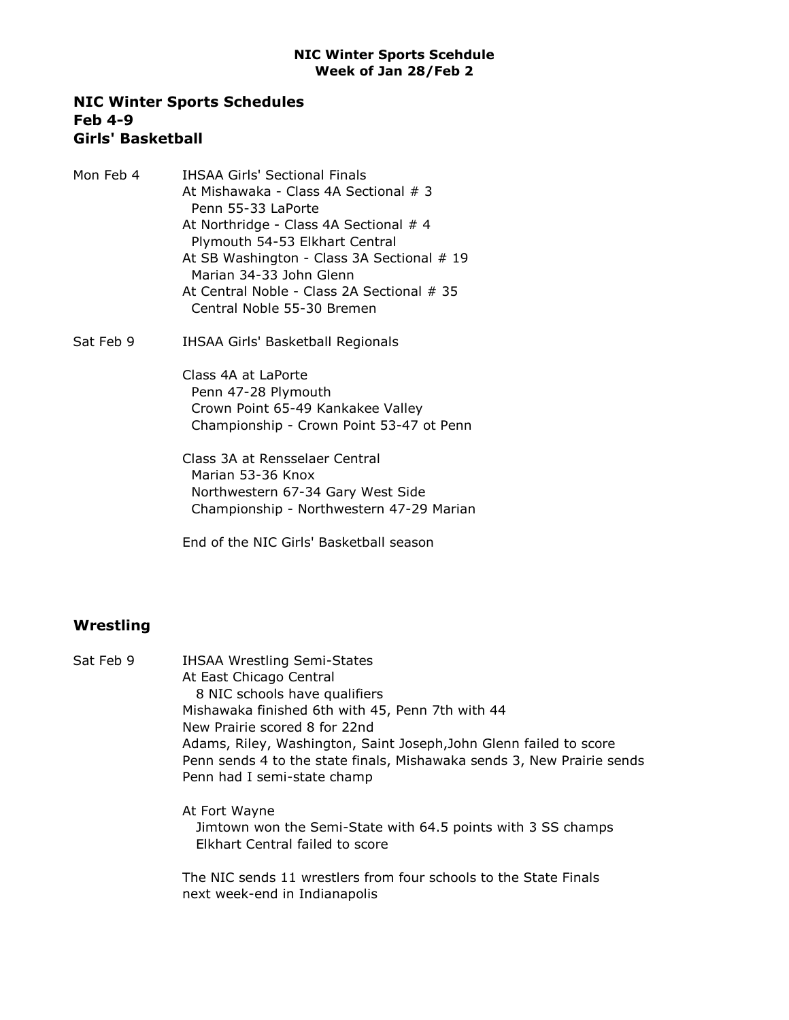#### NIC Winter Sports Schedules Feb 4-9 Girls' Basketball

Mon Feb 4 IHSAA Girls' Sectional Finals At Mishawaka - Class 4A Sectional # 3 Penn 55-33 LaPorte At Northridge - Class 4A Sectional # 4 Plymouth 54-53 Elkhart Central At SB Washington - Class 3A Sectional # 19 Marian 34-33 John Glenn At Central Noble - Class 2A Sectional # 35 Central Noble 55-30 Bremen Sat Feb 9 **IHSAA Girls' Basketball Regionals** 

> Class 4A at LaPorte Penn 47-28 Plymouth Crown Point 65-49 Kankakee Valley Championship - Crown Point 53-47 ot Penn

Class 3A at Rensselaer Central Marian 53-36 Knox Northwestern 67-34 Gary West Side Championship - Northwestern 47-29 Marian

End of the NIC Girls' Basketball season

# **Wrestling**

| Sat Feb 9 | <b>IHSAA Wrestling Semi-States</b>                                     |  |
|-----------|------------------------------------------------------------------------|--|
|           | At East Chicago Central                                                |  |
|           | 8 NIC schools have qualifiers                                          |  |
|           | Mishawaka finished 6th with 45, Penn 7th with 44                       |  |
|           | New Prairie scored 8 for 22nd                                          |  |
|           | Adams, Riley, Washington, Saint Joseph, John Glenn failed to score     |  |
|           | Penn sends 4 to the state finals, Mishawaka sends 3, New Prairie sends |  |
|           | Penn had I semi-state champ                                            |  |
|           | At Fort Wayne                                                          |  |
|           | Jimtown won the Semi-State with 64.5 points with 3 SS champs           |  |
|           | Elkhart Central failed to score                                        |  |
|           | The NIC sends 11 wrestlers from four schools to the State Finals       |  |

next week-end in Indianapolis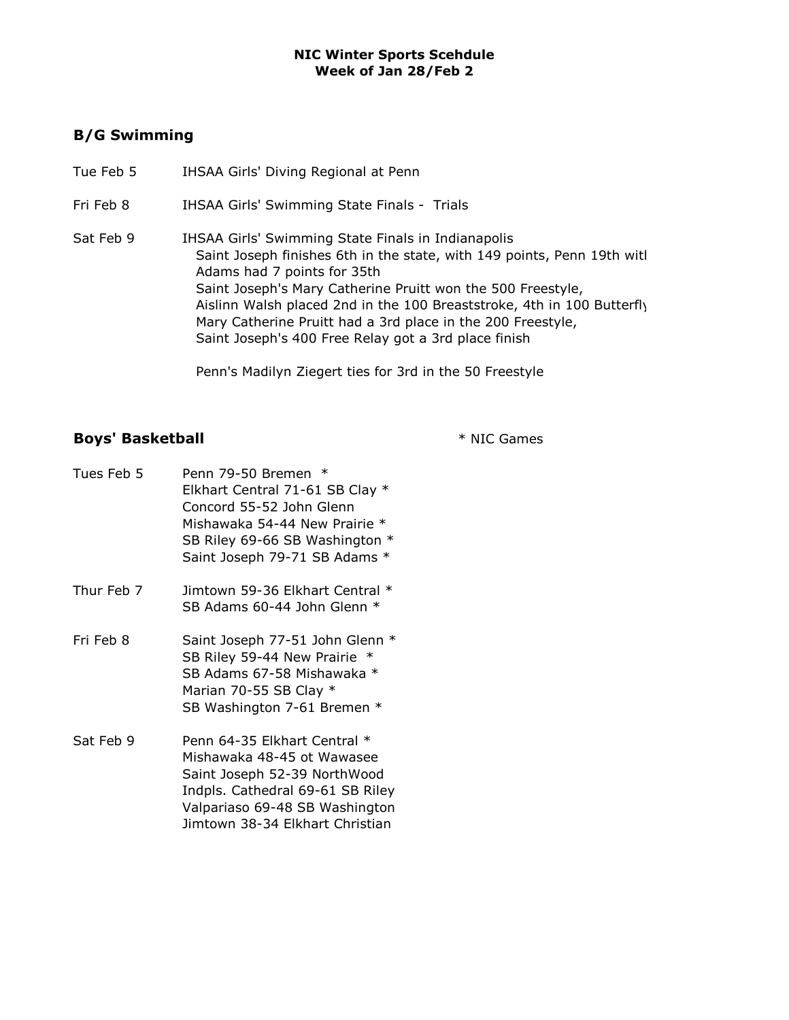## B/G Swimming

- Tue Feb 5 IHSAA Girls' Diving Regional at Penn
- Fri Feb 8 IHSAA Girls' Swimming State Finals Trials
- Sat Feb 9 IHSAA Girls' Swimming State Finals in Indianapolis Saint Joseph finishes 6th in the state, with 149 points, Penn 19th witl Adams had 7 points for 35th Saint Joseph's Mary Catherine Pruitt won the 500 Freestyle, Aislinn Walsh placed 2nd in the 100 Breaststroke, 4th in 100 Butterfly Mary Catherine Pruitt had a 3rd place in the 200 Freestyle, Saint Joseph's 400 Free Relay got a 3rd place finish

Penn's Madilyn Ziegert ties for 3rd in the 50 Freestyle

# Boys' Basketball **Exercise 2 and 3 and 3 and 3 and 3 and 3 and 4 and 4 and 4 and 4 and 4 and 4 and 4 and 4 and 4 and 4 and 4 and 4 and 4 and 4 and 4 and 4 and 4 and 4 and 4 and 4 and 4 and 4 and 4 and 4 and 4 and 4 and 4 a**

| Tues Feb 5 | Penn 79-50 Bremen *<br>Elkhart Central 71-61 SB Clay *<br>Concord 55-52 John Glenn<br>Mishawaka 54-44 New Prairie *<br>SB Riley 69-66 SB Washington *<br>Saint Joseph 79-71 SB Adams *              |
|------------|-----------------------------------------------------------------------------------------------------------------------------------------------------------------------------------------------------|
| Thur Feb 7 | Jimtown 59-36 Elkhart Central *<br>SB Adams 60-44 John Glenn *                                                                                                                                      |
| Fri Feb 8  | Saint Joseph 77-51 John Glenn *<br>SB Riley 59-44 New Prairie<br>SB Adams 67-58 Mishawaka *<br>Marian 70-55 SB Clay *<br>SB Washington 7-61 Bremen *                                                |
| Sat Feb 9  | Penn 64-35 Elkhart Central *<br>Mishawaka 48-45 ot Wawasee<br>Saint Joseph 52-39 NorthWood<br>Indpls. Cathedral 69-61 SB Riley<br>Valpariaso 69-48 SB Washington<br>Jimtown 38-34 Elkhart Christian |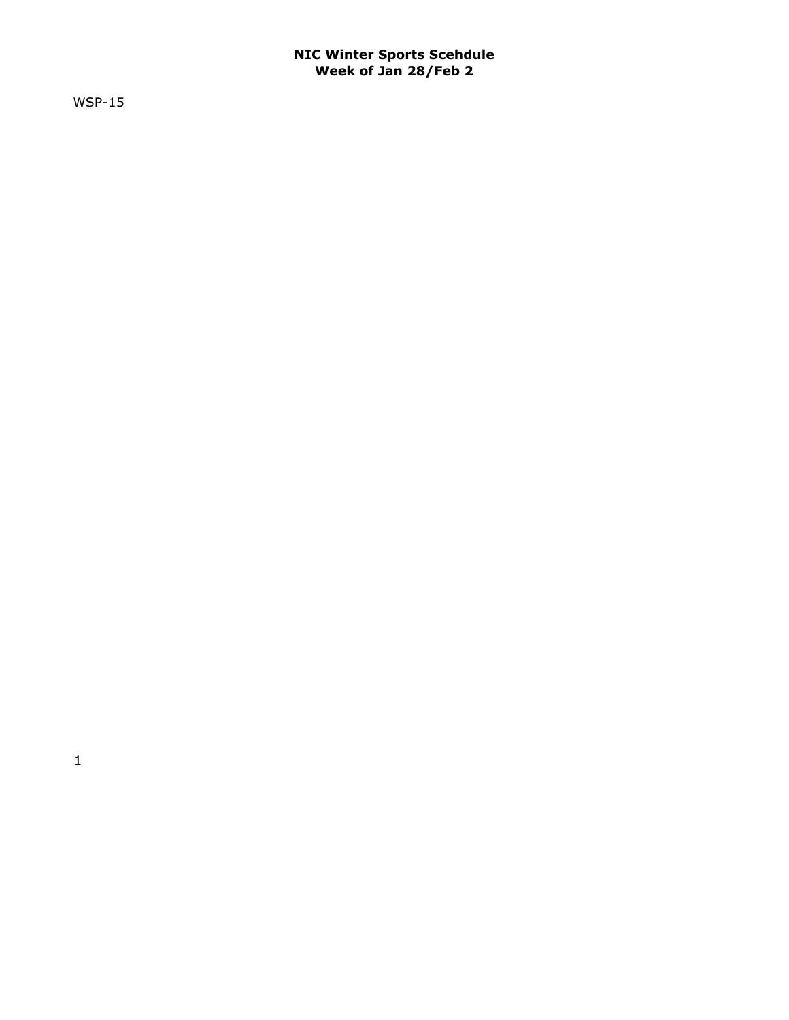WSP-15